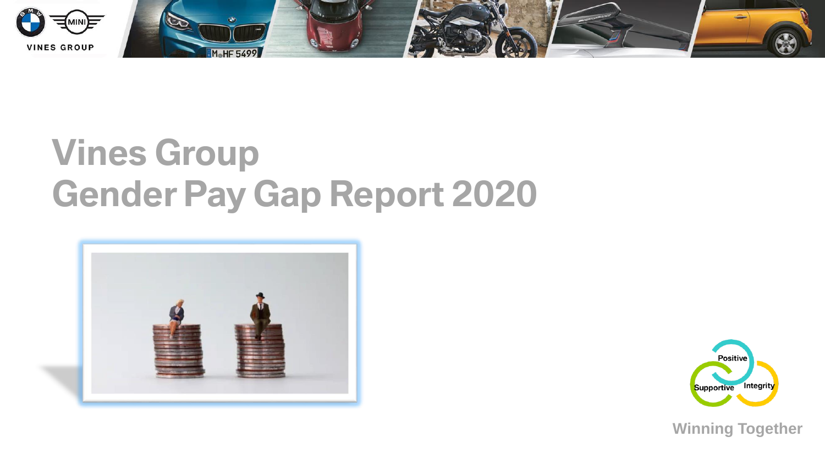

# **Vines Group Gender Pay Gap Report 2020**





**Winning Together**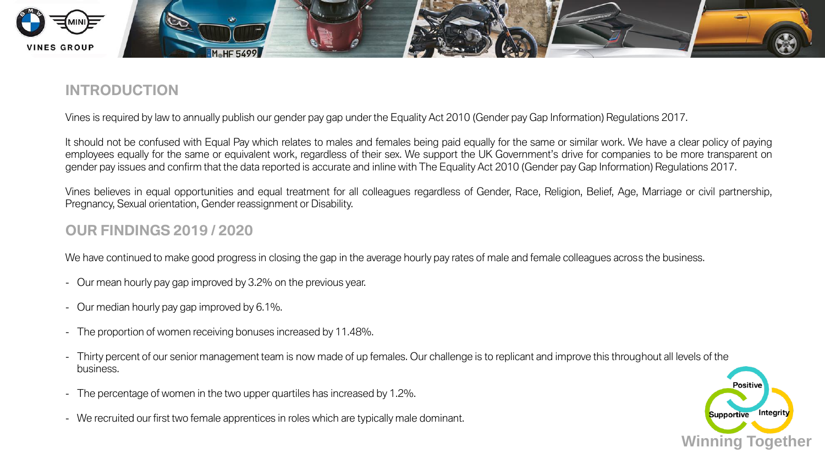

### **INTRODUCTION**

Vines is required by law to annually publish our gender pay gap under the Equality Act 2010 (Gender pay Gap Information) Regulations 2017.

It should not be confused with Equal Pay which relates to males and females being paid equally for the same or similar work. We have a clear policy of paying employees equally for the same or equivalent work, regardless of their sex. We support the UK Government's drive for companies to be more transparent on gender pay issues and confirm that the data reported is accurate and inline with The Equality Act 2010 (Gender pay Gap Information) Regulations 2017.

Vines believes in equal opportunities and equal treatment for all colleagues regardless of Gender, Race, Religion, Belief, Age, Marriage or civil partnership, Pregnancy, Sexual orientation, Gender reassignment or Disability.

#### **OUR FINDINGS 2019 / 2020**

We have continued to make good progress in closing the gap in the average hourly pay rates of male and female colleagues across the business.

- Our mean hourly pay gap improved by 3.2% on the previous year.
- Our median hourly pay gap improved by 6.1%.
- The proportion of women receiving bonuses increased by 11.48%.
- Thirty percent of our senior management team is now made of up females. Our challenge is to replicant and improve this throughout all levels of the business.
- The percentage of women in the two upper quartiles has increased by 1.2%.
- We recruited our first two female apprentices in roles which are typically male dominant.

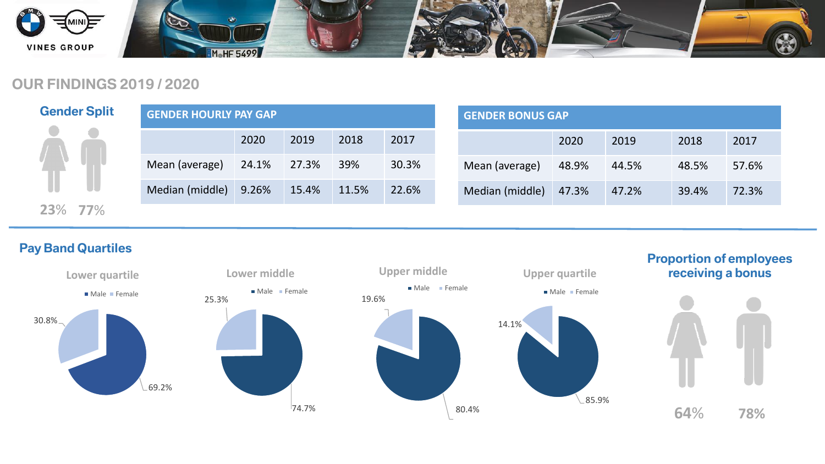

#### **OUR FINDINGS 2019 / 2020**

| <b>Gender Split</b> | <b>GENDER HOURLY PAY GAP</b> |       |       |       |       |  |
|---------------------|------------------------------|-------|-------|-------|-------|--|
|                     |                              | 2020  | 2019  | 2018  | 2017  |  |
|                     | Mean (average)               | 24.1% | 27.3% | 39%   | 30.3% |  |
|                     | Median (middle)              | 9.26% | 15.4% | 11.5% | 22.6% |  |
| <b>23%</b> 77%      |                              |       |       |       |       |  |

| <b>GENDER BONUS GAP</b> |       |       |       |       |  |  |
|-------------------------|-------|-------|-------|-------|--|--|
|                         | 2020  | 2019  | 2018  | 2017  |  |  |
| Mean (average)          | 48.9% | 44.5% | 48.5% | 57.6% |  |  |
| Median (middle)         | 47.3% | 47.2% | 39.4% | 72.3% |  |  |

#### **Pay Band Quartiles**